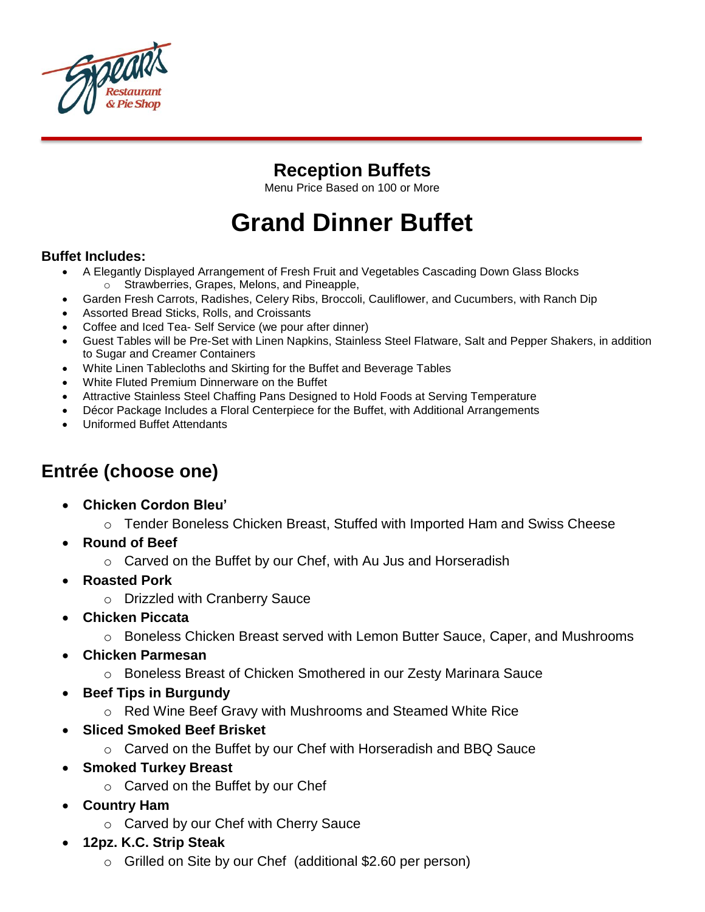

### **Reception Buffets**

Menu Price Based on 100 or More

# **Grand Dinner Buffet**

#### **Buffet Includes:**

- A Elegantly Displayed Arrangement of Fresh Fruit and Vegetables Cascading Down Glass Blocks o Strawberries, Grapes, Melons, and Pineapple,
- Garden Fresh Carrots, Radishes, Celery Ribs, Broccoli, Cauliflower, and Cucumbers, with Ranch Dip
- Assorted Bread Sticks, Rolls, and Croissants
- Coffee and Iced Tea- Self Service (we pour after dinner)
- Guest Tables will be Pre-Set with Linen Napkins, Stainless Steel Flatware, Salt and Pepper Shakers, in addition to Sugar and Creamer Containers
- White Linen Tablecloths and Skirting for the Buffet and Beverage Tables
- White Fluted Premium Dinnerware on the Buffet
- Attractive Stainless Steel Chaffing Pans Designed to Hold Foods at Serving Temperature
- Décor Package Includes a Floral Centerpiece for the Buffet, with Additional Arrangements
- Uniformed Buffet Attendants

### **Entrée (choose one)**

- **Chicken Cordon Bleu'**
	- o Tender Boneless Chicken Breast, Stuffed with Imported Ham and Swiss Cheese
- **Round of Beef**
	- o Carved on the Buffet by our Chef, with Au Jus and Horseradish
- **Roasted Pork**
	- o Drizzled with Cranberry Sauce
- **Chicken Piccata**
	- o Boneless Chicken Breast served with Lemon Butter Sauce, Caper, and Mushrooms
- **Chicken Parmesan**
	- o Boneless Breast of Chicken Smothered in our Zesty Marinara Sauce
- **Beef Tips in Burgundy**
	- o Red Wine Beef Gravy with Mushrooms and Steamed White Rice
- **Sliced Smoked Beef Brisket**
	- $\circ$  Carved on the Buffet by our Chef with Horseradish and BBQ Sauce
- **Smoked Turkey Breast**
	- o Carved on the Buffet by our Chef
- **Country Ham**
	- o Carved by our Chef with Cherry Sauce
- **12pz. K.C. Strip Steak**
	- o Grilled on Site by our Chef (additional \$2.60 per person)